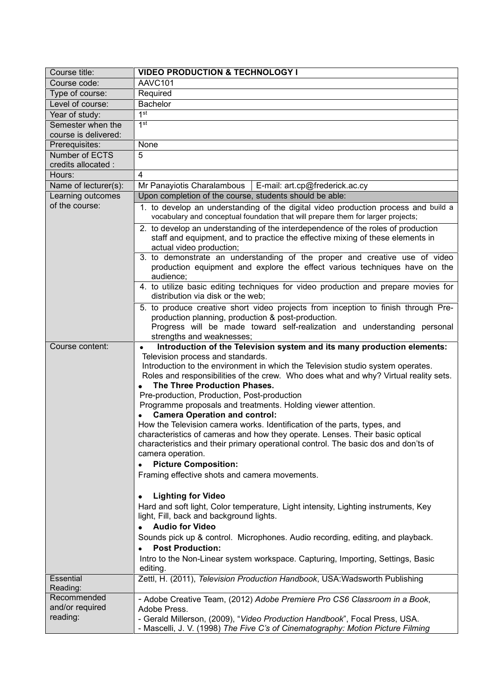| Course title:                              | <b>VIDEO PRODUCTION &amp; TECHNOLOGY I</b>                                                                                                                                                                                                                                                                                                                                                                                                                                                                                                                                                                                                                                                                                                                  |
|--------------------------------------------|-------------------------------------------------------------------------------------------------------------------------------------------------------------------------------------------------------------------------------------------------------------------------------------------------------------------------------------------------------------------------------------------------------------------------------------------------------------------------------------------------------------------------------------------------------------------------------------------------------------------------------------------------------------------------------------------------------------------------------------------------------------|
| Course code:                               | AAVC101                                                                                                                                                                                                                                                                                                                                                                                                                                                                                                                                                                                                                                                                                                                                                     |
| Type of course:                            | Required                                                                                                                                                                                                                                                                                                                                                                                                                                                                                                                                                                                                                                                                                                                                                    |
| Level of course:                           | <b>Bachelor</b>                                                                                                                                                                                                                                                                                                                                                                                                                                                                                                                                                                                                                                                                                                                                             |
| Year of study:                             | 1 <sup>st</sup>                                                                                                                                                                                                                                                                                                                                                                                                                                                                                                                                                                                                                                                                                                                                             |
| Semester when the                          | 1 <sup>st</sup>                                                                                                                                                                                                                                                                                                                                                                                                                                                                                                                                                                                                                                                                                                                                             |
| course is delivered:                       |                                                                                                                                                                                                                                                                                                                                                                                                                                                                                                                                                                                                                                                                                                                                                             |
| Prerequisites:                             | None                                                                                                                                                                                                                                                                                                                                                                                                                                                                                                                                                                                                                                                                                                                                                        |
| Number of ECTS<br>credits allocated :      | 5                                                                                                                                                                                                                                                                                                                                                                                                                                                                                                                                                                                                                                                                                                                                                           |
| Hours:                                     | 4                                                                                                                                                                                                                                                                                                                                                                                                                                                                                                                                                                                                                                                                                                                                                           |
| Name of lecturer(s):                       | Mr Panayiotis Charalambous<br>E-mail: art.cp@frederick.ac.cy                                                                                                                                                                                                                                                                                                                                                                                                                                                                                                                                                                                                                                                                                                |
| Learning outcomes                          | Upon completion of the course, students should be able:                                                                                                                                                                                                                                                                                                                                                                                                                                                                                                                                                                                                                                                                                                     |
| of the course:                             | 1. to develop an understanding of the digital video production process and build a<br>vocabulary and conceptual foundation that will prepare them for larger projects;                                                                                                                                                                                                                                                                                                                                                                                                                                                                                                                                                                                      |
|                                            | 2. to develop an understanding of the interdependence of the roles of production<br>staff and equipment, and to practice the effective mixing of these elements in<br>actual video production;                                                                                                                                                                                                                                                                                                                                                                                                                                                                                                                                                              |
|                                            | 3. to demonstrate an understanding of the proper and creative use of video<br>production equipment and explore the effect various techniques have on the<br>audience;                                                                                                                                                                                                                                                                                                                                                                                                                                                                                                                                                                                       |
|                                            | 4. to utilize basic editing techniques for video production and prepare movies for<br>distribution via disk or the web;                                                                                                                                                                                                                                                                                                                                                                                                                                                                                                                                                                                                                                     |
|                                            | 5. to produce creative short video projects from inception to finish through Pre-<br>production planning, production & post-production.<br>Progress will be made toward self-realization and understanding personal<br>strengths and weaknesses;                                                                                                                                                                                                                                                                                                                                                                                                                                                                                                            |
| Course content:                            | Introduction of the Television system and its many production elements:<br>$\bullet$                                                                                                                                                                                                                                                                                                                                                                                                                                                                                                                                                                                                                                                                        |
|                                            | Television process and standards.<br>Introduction to the environment in which the Television studio system operates.<br>Roles and responsibilities of the crew. Who does what and why? Virtual reality sets.<br>The Three Production Phases.<br>Pre-production, Production, Post-production<br>Programme proposals and treatments. Holding viewer attention.<br><b>Camera Operation and control:</b><br>How the Television camera works. Identification of the parts, types, and<br>characteristics of cameras and how they operate. Lenses. Their basic optical<br>characteristics and their primary operational control. The basic dos and don'ts of<br>camera operation.<br><b>Picture Composition:</b><br>Framing effective shots and camera movements. |
|                                            | <b>Lighting for Video</b><br>٠<br>Hard and soft light, Color temperature, Light intensity, Lighting instruments, Key<br>light, Fill, back and background lights.<br><b>Audio for Video</b><br>Sounds pick up & control. Microphones. Audio recording, editing, and playback.<br><b>Post Production:</b><br>Intro to the Non-Linear system workspace. Capturing, Importing, Settings, Basic<br>editing.                                                                                                                                                                                                                                                                                                                                                      |
| <b>Essential</b><br>Reading:               | Zettl, H. (2011), Television Production Handbook, USA: Wadsworth Publishing                                                                                                                                                                                                                                                                                                                                                                                                                                                                                                                                                                                                                                                                                 |
| Recommended<br>and/or required<br>reading: | - Adobe Creative Team, (2012) Adobe Premiere Pro CS6 Classroom in a Book,<br>Adobe Press.<br>- Gerald Millerson, (2009), "Video Production Handbook", Focal Press, USA.<br>- Mascelli, J. V. (1998) The Five C's of Cinematography: Motion Picture Filming                                                                                                                                                                                                                                                                                                                                                                                                                                                                                                  |